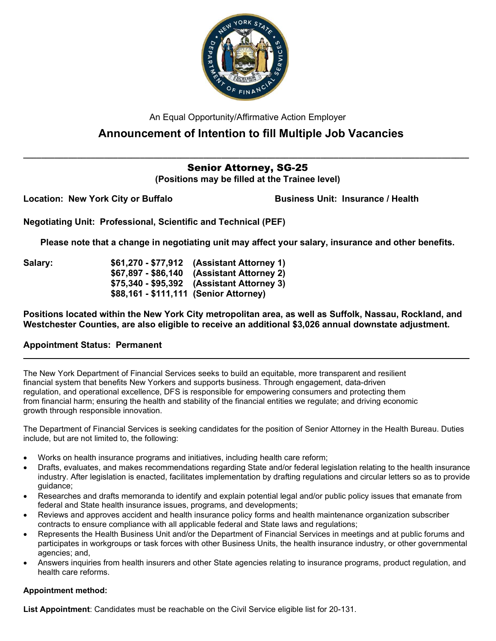

An Equal Opportunity/Affirmative Action Employer

# Announcement of Intention to fill Multiple Job Vacancies

## $\_$  , and the set of the set of the set of the set of the set of the set of the set of the set of the set of the set of the set of the set of the set of the set of the set of the set of the set of the set of the set of th Senior Attorney, SG-25

(Positions may be filled at the Trainee level)

Location: New York City or Buffalo

Business Unit: Insurance / Health

Negotiating Unit: Professional, Scientific and Technical (PEF)

Please note that a change in negotiating unit may affect your salary, insurance and other benefits.

Salary: \$61,270 - \$77,912 (Assistant Attorney 1) \$67,897 - \$86,140 (Assistant Attorney 2) \$75,340 - \$95,392 (Assistant Attorney 3) \$88,161 - \$111,111 (Senior Attorney)

Positions located within the New York City metropolitan area, as well as Suffolk, Nassau, Rockland, and Westchester Counties, are also eligible to receive an additional \$3,026 annual downstate adjustment.

 $\_$  . The contribution of the contribution of the contribution of the contribution of the contribution of the contribution of the contribution of the contribution of the contribution of the contribution of the contributio

## Appointment Status: Permanent

The New York Department of Financial Services seeks to build an equitable, more transparent and resilient financial system that benefits New Yorkers and supports business. Through engagement, data-driven regulation, and operational excellence, DFS is responsible for empowering consumers and protecting them from financial harm; ensuring the health and stability of the financial entities we regulate; and driving economic growth through responsible innovation.

The Department of Financial Services is seeking candidates for the position of Senior Attorney in the Health Bureau. Duties include, but are not limited to, the following:

- Works on health insurance programs and initiatives, including health care reform;
- Drafts, evaluates, and makes recommendations regarding State and/or federal legislation relating to the health insurance industry. After legislation is enacted, facilitates implementation by drafting regulations and circular letters so as to provide guidance;
- Researches and drafts memoranda to identify and explain potential legal and/or public policy issues that emanate from federal and State health insurance issues, programs, and developments;
- Reviews and approves accident and health insurance policy forms and health maintenance organization subscriber contracts to ensure compliance with all applicable federal and State laws and regulations;
- Represents the Health Business Unit and/or the Department of Financial Services in meetings and at public forums and participates in workgroups or task forces with other Business Units, the health insurance industry, or other governmental agencies; and,
- Answers inquiries from health insurers and other State agencies relating to insurance programs, product regulation, and health care reforms.

## Appointment method:

List Appointment: Candidates must be reachable on the Civil Service eligible list for 20-131.